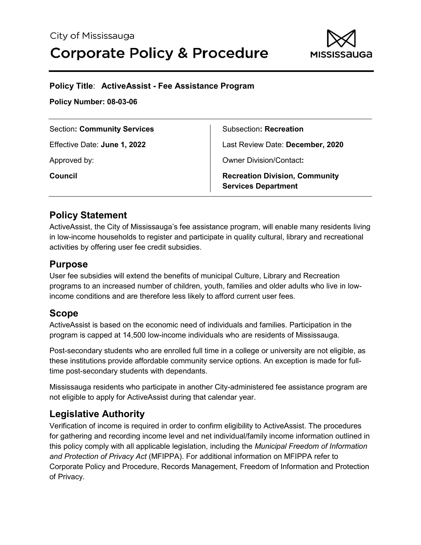

#### **Policy Title**: **ActiveAssist - Fee Assistance Program**

**Policy Number: 08-03-06**

| <b>Section: Community Services</b> | <b>Subsection: Recreation</b>                                       |
|------------------------------------|---------------------------------------------------------------------|
| Effective Date: June 1, 2022       | Last Review Date: December, 2020                                    |
| Approved by:                       | <b>Owner Division/Contact:</b>                                      |
| Council                            | <b>Recreation Division, Community</b><br><b>Services Department</b> |

### **Policy Statement**

ActiveAssist, the City of Mississauga's fee assistance program, will enable many residents living in low-income households to register and participate in quality cultural, library and recreational activities by offering user fee credit subsidies.

### **Purpose**

User fee subsidies will extend the benefits of municipal Culture, Library and Recreation programs to an increased number of children, youth, families and older adults who live in lowincome conditions and are therefore less likely to afford current user fees.

### **Scope**

ActiveAssist is based on the economic need of individuals and families. Participation in the program is capped at 14,500 low-income individuals who are residents of Mississauga.

Post-secondary students who are enrolled full time in a college or university are not eligible, as these institutions provide affordable community service options. An exception is made for fulltime post-secondary students with dependants.

Mississauga residents who participate in another City-administered fee assistance program are not eligible to apply for ActiveAssist during that calendar year.

### **Legislative Authority**

Verification of income is required in order to confirm eligibility to ActiveAssist. The procedures for gathering and recording income level and net individual/family income information outlined in this policy comply with all applicable legislation, including the *Municipal Freedom of Information and Protection of Privacy Act* (MFIPPA). For additional information on MFIPPA refer to Corporate Policy and Procedure, Records Management, Freedom of Information and Protection of Privacy.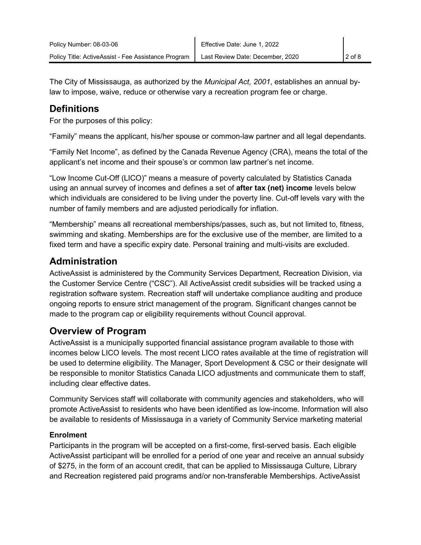The City of Mississauga, as authorized by the *Municipal Act, 2001*, establishes an annual bylaw to impose, waive, reduce or otherwise vary a recreation program fee or charge.

## **Definitions**

For the purposes of this policy:

"Family" means the applicant, his/her spouse or common-law partner and all legal dependants.

"Family Net Income", as defined by the Canada Revenue Agency (CRA), means the total of the applicant's net income and their spouse's or common law partner's net income.

"Low Income Cut-Off (LICO)" means a measure of poverty calculated by Statistics Canada using an annual survey of incomes and defines a set of **after tax (net) income** levels below which individuals are considered to be living under the poverty line. Cut-off levels vary with the number of family members and are adjusted periodically for inflation.

"Membership" means all recreational memberships/passes, such as, but not limited to, fitness, swimming and skating. Memberships are for the exclusive use of the member, are limited to a fixed term and have a specific expiry date. Personal training and multi-visits are excluded.

### **Administration**

ActiveAssist is administered by the Community Services Department, Recreation Division, via the Customer Service Centre ("CSC"). All ActiveAssist credit subsidies will be tracked using a registration software system. Recreation staff will undertake compliance auditing and produce ongoing reports to ensure strict management of the program. Significant changes cannot be made to the program cap or eligibility requirements without Council approval.

## **Overview of Program**

ActiveAssist is a municipally supported financial assistance program available to those with incomes below LICO levels. The most recent LICO rates available at the time of registration will be used to determine eligibility. The Manager, Sport Development & CSC or their designate will be responsible to monitor Statistics Canada LICO adjustments and communicate them to staff, including clear effective dates.

Community Services staff will collaborate with community agencies and stakeholders, who will promote ActiveAssist to residents who have been identified as low-income. Information will also be available to residents of Mississauga in a variety of Community Service marketing material

### **Enrolment**

Participants in the program will be accepted on a first-come, first-served basis. Each eligible ActiveAssist participant will be enrolled for a period of one year and receive an annual subsidy of \$275, in the form of an account credit, that can be applied to Mississauga Culture, Library and Recreation registered paid programs and/or non-transferable Memberships. ActiveAssist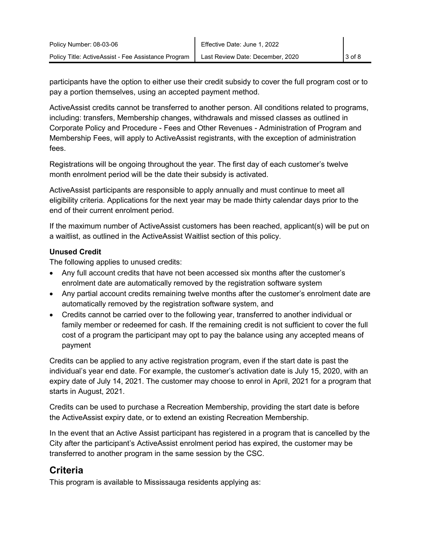participants have the option to either use their credit subsidy to cover the full program cost or to pay a portion themselves, using an accepted payment method.

ActiveAssist credits cannot be transferred to another person. All conditions related to programs, including: transfers, Membership changes, withdrawals and missed classes as outlined in Corporate Policy and Procedure - Fees and Other Revenues - Administration of Program and Membership Fees, will apply to ActiveAssist registrants, with the exception of administration fees.

Registrations will be ongoing throughout the year. The first day of each customer's twelve month enrolment period will be the date their subsidy is activated.

ActiveAssist participants are responsible to apply annually and must continue to meet all eligibility criteria. Applications for the next year may be made thirty calendar days prior to the end of their current enrolment period.

If the maximum number of ActiveAssist customers has been reached, applicant(s) will be put on a waitlist, as outlined in the ActiveAssist Waitlist section of this policy.

#### **Unused Credit**

The following applies to unused credits:

- Any full account credits that have not been accessed six months after the customer's enrolment date are automatically removed by the registration software system
- Any partial account credits remaining twelve months after the customer's enrolment date are automatically removed by the registration software system, and
- Credits cannot be carried over to the following year, transferred to another individual or family member or redeemed for cash. If the remaining credit is not sufficient to cover the full cost of a program the participant may opt to pay the balance using any accepted means of payment

Credits can be applied to any active registration program, even if the start date is past the individual's year end date. For example, the customer's activation date is July 15, 2020, with an expiry date of July 14, 2021. The customer may choose to enrol in April, 2021 for a program that starts in August, 2021.

Credits can be used to purchase a Recreation Membership, providing the start date is before the ActiveAssist expiry date, or to extend an existing Recreation Membership.

In the event that an Active Assist participant has registered in a program that is cancelled by the City after the participant's ActiveAssist enrolment period has expired, the customer may be transferred to another program in the same session by the CSC.

## **Criteria**

This program is available to Mississauga residents applying as: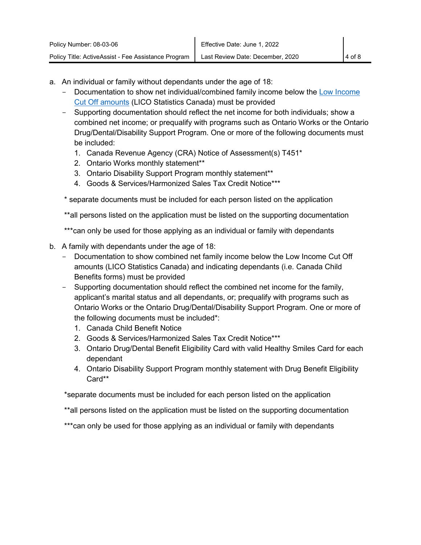- a. An individual or family without dependants under the age of 18:
	- Documentation to show net individual/combined family income below the [Low Income](https://www150.statcan.gc.ca/n1/pub/75f0002m/2012002/lico-sfr-eng.htm)  [Cut Off amounts](https://www150.statcan.gc.ca/n1/pub/75f0002m/2012002/lico-sfr-eng.htm) (LICO Statistics Canada) must be provided
	- Supporting documentation should reflect the net income for both individuals; show a combined net income; or prequalify with programs such as Ontario Works or the Ontario Drug/Dental/Disability Support Program. One or more of the following documents must be included:
		- 1. Canada Revenue Agency (CRA) Notice of Assessment(s) T451\*
		- 2. Ontario Works monthly statement\*\*
		- 3. Ontario Disability Support Program monthly statement\*\*
		- 4. Goods & Services/Harmonized Sales Tax Credit Notice\*\*\*

\* separate documents must be included for each person listed on the application

\*\*all persons listed on the application must be listed on the supporting documentation

\*\*\*can only be used for those applying as an individual or family with dependants

- b. A family with dependants under the age of 18:
	- Documentation to show combined net family income below the Low Income Cut Off amounts (LICO Statistics Canada) and indicating dependants (i.e. Canada Child Benefits forms) must be provided
	- Supporting documentation should reflect the combined net income for the family, applicant's marital status and all dependants, or; prequalify with programs such as Ontario Works or the Ontario Drug/Dental/Disability Support Program. One or more of the following documents must be included\*:
		- 1. Canada Child Benefit Notice
		- 2. Goods & Services/Harmonized Sales Tax Credit Notice\*\*\*
		- 3. Ontario Drug/Dental Benefit Eligibility Card with valid Healthy Smiles Card for each dependant
		- 4. Ontario Disability Support Program monthly statement with Drug Benefit Eligibility Card\*\*

\*separate documents must be included for each person listed on the application

\*\*all persons listed on the application must be listed on the supporting documentation

\*\*\*can only be used for those applying as an individual or family with dependants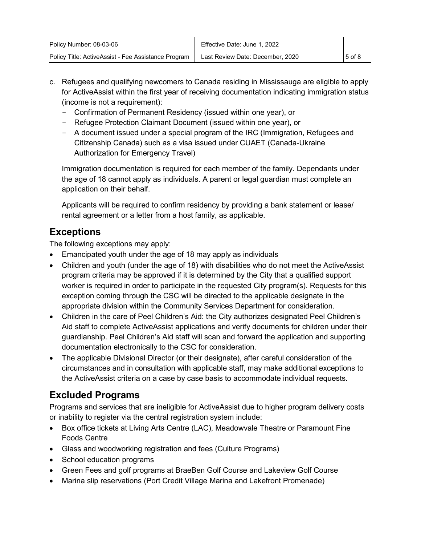- c. Refugees and qualifying newcomers to Canada residing in Mississauga are eligible to apply for ActiveAssist within the first year of receiving documentation indicating immigration status (income is not a requirement):
	- Confirmation of Permanent Residency (issued within one year), or
	- Refugee Protection Claimant Document (issued within one year), or
	- A document issued under a special program of the IRC (Immigration, Refugees and Citizenship Canada) such as a visa issued under CUAET (Canada-Ukraine Authorization for Emergency Travel)

Immigration documentation is required for each member of the family. Dependants under the age of 18 cannot apply as individuals. A parent or legal guardian must complete an application on their behalf.

Applicants will be required to confirm residency by providing a bank statement or lease/ rental agreement or a letter from a host family, as applicable.

# **Exceptions**

The following exceptions may apply:

- Emancipated youth under the age of 18 may apply as individuals
- Children and youth (under the age of 18) with disabilities who do not meet the ActiveAssist program criteria may be approved if it is determined by the City that a qualified support worker is required in order to participate in the requested City program(s). Requests for this exception coming through the CSC will be directed to the applicable designate in the appropriate division within the Community Services Department for consideration.
- Children in the care of Peel Children's Aid: the City authorizes designated Peel Children's Aid staff to complete ActiveAssist applications and verify documents for children under their guardianship. Peel Children's Aid staff will scan and forward the application and supporting documentation electronically to the CSC for consideration.
- The applicable Divisional Director (or their designate), after careful consideration of the circumstances and in consultation with applicable staff, may make additional exceptions to the ActiveAssist criteria on a case by case basis to accommodate individual requests.

# **Excluded Programs**

Programs and services that are ineligible for ActiveAssist due to higher program delivery costs or inability to register via the central registration system include:

- Box office tickets at Living Arts Centre (LAC), Meadowvale Theatre or Paramount Fine Foods Centre
- Glass and woodworking registration and fees (Culture Programs)
- School education programs
- Green Fees and golf programs at BraeBen Golf Course and Lakeview Golf Course
- Marina slip reservations (Port Credit Village Marina and Lakefront Promenade)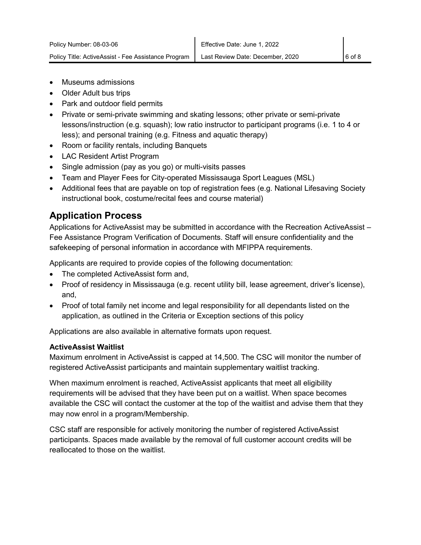- Museums admissions
- Older Adult bus trips
- Park and outdoor field permits
- Private or semi-private swimming and skating lessons; other private or semi-private lessons/instruction (e.g. squash); low ratio instructor to participant programs (i.e. 1 to 4 or less); and personal training (e.g. Fitness and aquatic therapy)
- Room or facility rentals, including Banquets
- LAC Resident Artist Program
- Single admission (pay as you go) or multi-visits passes
- Team and Player Fees for City-operated Mississauga Sport Leagues (MSL)
- Additional fees that are payable on top of registration fees (e.g. National Lifesaving Society instructional book, costume/recital fees and course material)

### **Application Process**

Applications for ActiveAssist may be submitted in accordance with the Recreation ActiveAssist – Fee Assistance Program Verification of Documents. Staff will ensure confidentiality and the safekeeping of personal information in accordance with MFIPPA requirements.

Applicants are required to provide copies of the following documentation:

- The completed ActiveAssist form and,
- Proof of residency in Mississauga (e.g. recent utility bill, lease agreement, driver's license), and,
- Proof of total family net income and legal responsibility for all dependants listed on the application, as outlined in the Criteria or Exception sections of this policy

Applications are also available in alternative formats upon request.

#### **ActiveAssist Waitlist**

Maximum enrolment in ActiveAssist is capped at 14,500. The CSC will monitor the number of registered ActiveAssist participants and maintain supplementary waitlist tracking.

When maximum enrolment is reached, ActiveAssist applicants that meet all eligibility requirements will be advised that they have been put on a waitlist. When space becomes available the CSC will contact the customer at the top of the waitlist and advise them that they may now enrol in a program/Membership.

CSC staff are responsible for actively monitoring the number of registered ActiveAssist participants. Spaces made available by the removal of full customer account credits will be reallocated to those on the waitlist.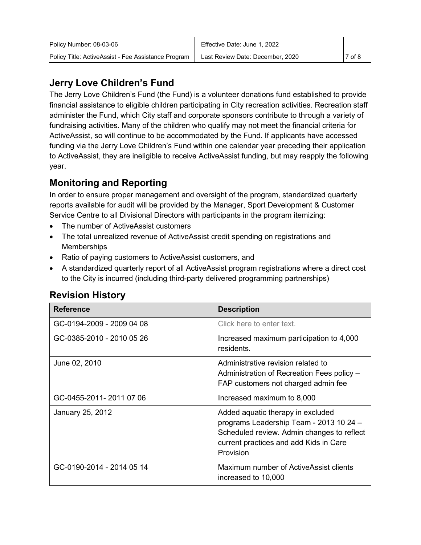The Jerry Love Children's Fund (the Fund) is a volunteer donations fund established to provide financial assistance to eligible children participating in City recreation activities. Recreation staff administer the Fund, which City staff and corporate sponsors contribute to through a variety of fundraising activities. Many of the children who qualify may not meet the financial criteria for ActiveAssist, so will continue to be accommodated by the Fund. If applicants have accessed funding via the Jerry Love Children's Fund within one calendar year preceding their application to ActiveAssist, they are ineligible to receive ActiveAssist funding, but may reapply the following year.

## **Monitoring and Reporting**

In order to ensure proper management and oversight of the program, standardized quarterly reports available for audit will be provided by the Manager, Sport Development & Customer Service Centre to all Divisional Directors with participants in the program itemizing:

- The number of ActiveAssist customers
- The total unrealized revenue of ActiveAssist credit spending on registrations and **Memberships**
- Ratio of paying customers to ActiveAssist customers, and
- A standardized quarterly report of all ActiveAssist program registrations where a direct cost to the City is incurred (including third-party delivered programming partnerships)

| <b>Reference</b>          | <b>Description</b>                                                                                                                                                                |
|---------------------------|-----------------------------------------------------------------------------------------------------------------------------------------------------------------------------------|
| GC-0194-2009 - 2009 04 08 | Click here to enter text.                                                                                                                                                         |
| GC-0385-2010 - 2010 05 26 | Increased maximum participation to 4,000<br>residents.                                                                                                                            |
| June 02, 2010             | Administrative revision related to<br>Administration of Recreation Fees policy -<br>FAP customers not charged admin fee                                                           |
| GC-0455-2011-2011 07 06   | Increased maximum to 8,000                                                                                                                                                        |
| January 25, 2012          | Added aquatic therapy in excluded<br>programs Leadership Team - 2013 10 24 -<br>Scheduled review. Admin changes to reflect<br>current practices and add Kids in Care<br>Provision |
| GC-0190-2014 - 2014 05 14 | Maximum number of ActiveAssist clients<br>increased to 10,000                                                                                                                     |

# **Revision History**